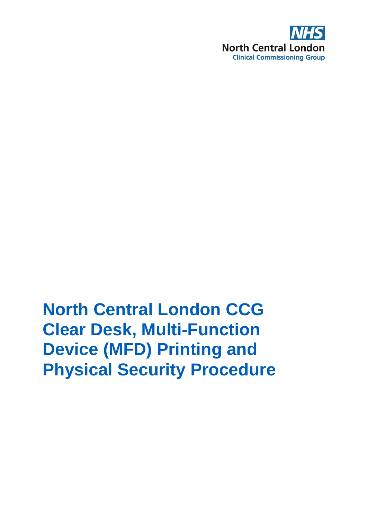

# **North Central London CCG Clear Desk, Multi-Function Device (MFD) Printing and Physical Security Procedure**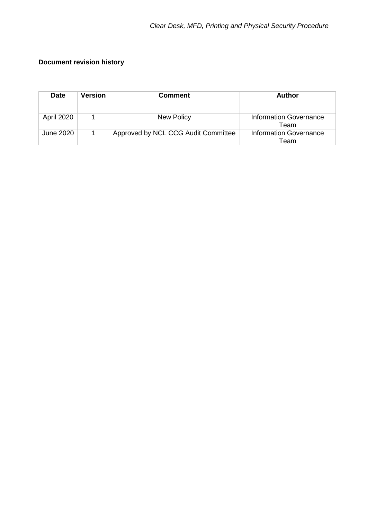#### **Document revision history**

| <b>Date</b> | <b>Version</b> | <b>Comment</b>                      | Author                                |
|-------------|----------------|-------------------------------------|---------------------------------------|
| April 2020  |                | New Policy                          | <b>Information Governance</b><br>Team |
| June 2020   |                | Approved by NCL CCG Audit Committee | <b>Information Governance</b><br>Team |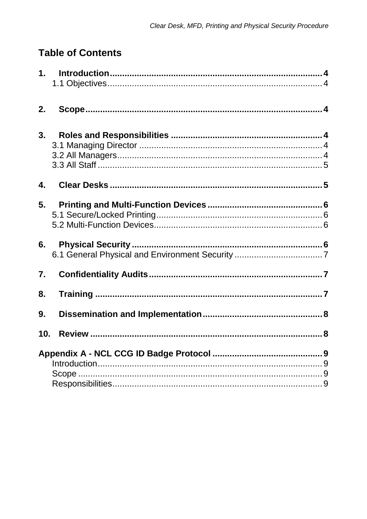### **Table of Contents**

<span id="page-2-0"></span>

| 2.                        |  |
|---------------------------|--|
| 3.                        |  |
| $\overline{\mathbf{4}}$ . |  |
| 5.                        |  |
| 6.                        |  |
| $\overline{7}$ .          |  |
| 8.                        |  |
| 9.                        |  |
| 10.                       |  |
|                           |  |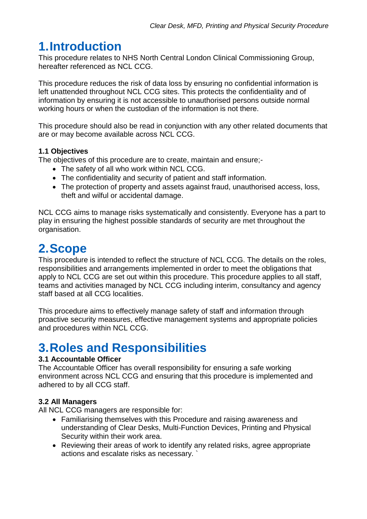# **1.Introduction**

This procedure relates to NHS North Central London Clinical Commissioning Group, hereafter referenced as NCL CCG.

This procedure reduces the risk of data loss by ensuring no confidential information is left unattended throughout NCL CCG sites. This protects the confidentiality and of information by ensuring it is not accessible to unauthorised persons outside normal working hours or when the custodian of the information is not there.

This procedure should also be read in conjunction with any other related documents that are or may become available across NCL CCG.

#### <span id="page-3-0"></span>**1.1 Objectives**

The objectives of this procedure are to create, maintain and ensure;-

- The safety of all who work within NCL CCG.
- The confidentiality and security of patient and staff information.
- The protection of property and assets against fraud, unauthorised access, loss, theft and wilful or accidental damage.

NCL CCG aims to manage risks systematically and consistently. Everyone has a part to play in ensuring the highest possible standards of security are met throughout the organisation.

### <span id="page-3-1"></span>**2.Scope**

This procedure is intended to reflect the structure of NCL CCG. The details on the roles, responsibilities and arrangements implemented in order to meet the obligations that apply to NCL CCG are set out within this procedure. This procedure applies to all staff, teams and activities managed by NCL CCG including interim, consultancy and agency staff based at all CCG localities.

This procedure aims to effectively manage safety of staff and information through proactive security measures, effective management systems and appropriate policies and procedures within NCL CCG.

### <span id="page-3-2"></span>**3.Roles and Responsibilities**

#### <span id="page-3-3"></span>**3.1 Accountable Officer**

The Accountable Officer has overall responsibility for ensuring a safe working environment across NCL CCG and ensuring that this procedure is implemented and adhered to by all CCG staff.

#### <span id="page-3-4"></span>**3.2 All Managers**

All NCL CCG managers are responsible for:

- Familiarising themselves with this Procedure and raising awareness and understanding of Clear Desks, Multi-Function Devices, Printing and Physical Security within their work area.
- Reviewing their areas of work to identify any related risks, agree appropriate actions and escalate risks as necessary. `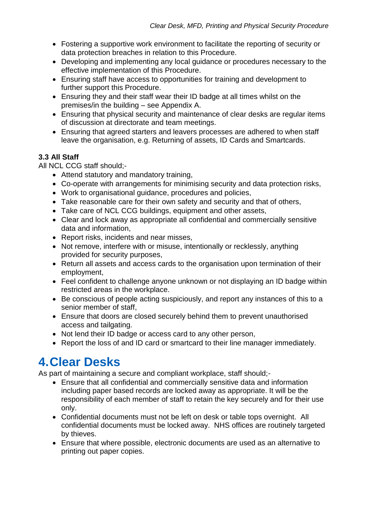- Fostering a supportive work environment to facilitate the reporting of security or data protection breaches in relation to this Procedure.
- Developing and implementing any local guidance or procedures necessary to the effective implementation of this Procedure.
- Ensuring staff have access to opportunities for training and development to further support this Procedure.
- Ensuring they and their staff wear their ID badge at all times whilst on the premises/in the building – see Appendix A.
- Ensuring that physical security and maintenance of clear desks are regular items of discussion at directorate and team meetings.
- Ensuring that agreed starters and leavers processes are adhered to when staff leave the organisation, e.g. Returning of assets, ID Cards and Smartcards.

#### <span id="page-4-0"></span>**3.3 All Staff**

All NCL CCG staff should;-

- Attend statutory and mandatory training,
- Co-operate with arrangements for minimising security and data protection risks,
- Work to organisational guidance, procedures and policies,
- Take reasonable care for their own safety and security and that of others,
- Take care of NCL CCG buildings, equipment and other assets,
- Clear and lock away as appropriate all confidential and commercially sensitive data and information,
- Report risks, incidents and near misses,
- Not remove, interfere with or misuse, intentionally or recklessly, anything provided for security purposes,
- Return all assets and access cards to the organisation upon termination of their employment,
- Feel confident to challenge anyone unknown or not displaying an ID badge within restricted areas in the workplace.
- Be conscious of people acting suspiciously, and report any instances of this to a senior member of staff,
- Ensure that doors are closed securely behind them to prevent unauthorised access and tailgating.
- Not lend their ID badge or access card to any other person,
- Report the loss of and ID card or smartcard to their line manager immediately.

### <span id="page-4-1"></span>**4.Clear Desks**

As part of maintaining a secure and compliant workplace, staff should;-

- Ensure that all confidential and commercially sensitive data and information including paper based records are locked away as appropriate. It will be the responsibility of each member of staff to retain the key securely and for their use only.
- Confidential documents must not be left on desk or table tops overnight. All confidential documents must be locked away. NHS offices are routinely targeted by thieves.
- Ensure that where possible, electronic documents are used as an alternative to printing out paper copies.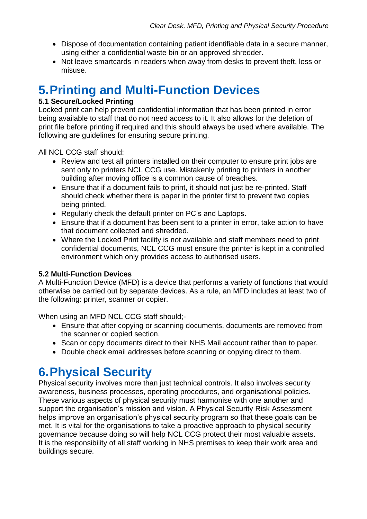- Dispose of documentation containing patient identifiable data in a secure manner, using either a confidential waste bin or an approved shredder.
- Not leave smartcards in readers when away from desks to prevent theft, loss or misuse.

# <span id="page-5-0"></span>**5.Printing and Multi-Function Devices**

#### <span id="page-5-1"></span>**5.1 Secure/Locked Printing**

Locked print can help prevent confidential information that has been printed in error being available to staff that do not need access to it. It also allows for the deletion of print file before printing if required and this should always be used where available. The following are guidelines for ensuring secure printing.

All NCL CCG staff should:

- Review and test all printers installed on their computer to ensure print jobs are sent only to printers NCL CCG use. Mistakenly printing to printers in another building after moving office is a common cause of breaches.
- Ensure that if a document fails to print, it should not just be re-printed. Staff should check whether there is paper in the printer first to prevent two copies being printed.
- Regularly check the default printer on PC's and Laptops.
- Ensure that if a document has been sent to a printer in error, take action to have that document collected and shredded.
- Where the Locked Print facility is not available and staff members need to print confidential documents, NCL CCG must ensure the printer is kept in a controlled environment which only provides access to authorised users.

#### <span id="page-5-2"></span>**5.2 Multi-Function Devices**

A Multi-Function Device (MFD) is a device that performs a variety of functions that would otherwise be carried out by separate devices. As a rule, an MFD includes at least two of the following: printer, scanner or copier.

When using an MFD NCL CCG staff should;-

- Ensure that after copying or scanning documents, documents are removed from the scanner or copied section.
- Scan or copy documents direct to their NHS Mail account rather than to paper.
- Double check email addresses before scanning or copying direct to them.

# <span id="page-5-3"></span>**6.Physical Security**

Physical security involves more than just technical controls. It also involves security awareness, business processes, operating procedures, and organisational policies. These various aspects of physical security must harmonise with one another and support the organisation's mission and vision. A Physical Security Risk Assessment helps improve an organisation's physical security program so that these goals can be met. It is vital for the organisations to take a proactive approach to physical security governance because doing so will help NCL CCG protect their most valuable assets. It is the responsibility of all staff working in NHS premises to keep their work area and buildings secure.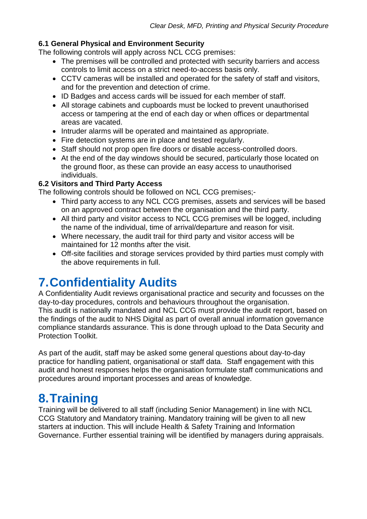#### <span id="page-6-0"></span>**6.1 General Physical and Environment Security**

The following controls will apply across NCL CCG premises:

- The premises will be controlled and protected with security barriers and access controls to limit access on a strict need-to-access basis only.
- CCTV cameras will be installed and operated for the safety of staff and visitors, and for the prevention and detection of crime.
- ID Badges and access cards will be issued for each member of staff.
- All storage cabinets and cupboards must be locked to prevent unauthorised access or tampering at the end of each day or when offices or departmental areas are vacated.
- Intruder alarms will be operated and maintained as appropriate.
- Fire detection systems are in place and tested regularly.
- Staff should not prop open fire doors or disable access-controlled doors.
- At the end of the day windows should be secured, particularly those located on the ground floor, as these can provide an easy access to unauthorised individuals.

#### **6.2 Visitors and Third Party Access**

The following controls should be followed on NCL CCG premises;-

- Third party access to any NCL CCG premises, assets and services will be based on an approved contract between the organisation and the third party.
- All third party and visitor access to NCL CCG premises will be logged, including the name of the individual, time of arrival/departure and reason for visit.
- Where necessary, the audit trail for third party and visitor access will be maintained for 12 months after the visit.
- Off-site facilities and storage services provided by third parties must comply with the above requirements in full.

# <span id="page-6-1"></span>**7.Confidentiality Audits**

A Confidentiality Audit reviews organisational practice and security and focusses on the day-to-day procedures, controls and behaviours throughout the organisation. This audit is nationally mandated and NCL CCG must provide the audit report, based on the findings of the audit to NHS Digital as part of overall annual information governance compliance standards assurance. This is done through upload to the Data Security and Protection Toolkit.

As part of the audit, staff may be asked some general questions about day-to-day practice for handling patient, organisational or staff data. Staff engagement with this audit and honest responses helps the organisation formulate staff communications and procedures around important processes and areas of knowledge.

### <span id="page-6-2"></span>**8.Training**

Training will be delivered to all staff (including Senior Management) in line with NCL CCG Statutory and Mandatory training. Mandatory training will be given to all new starters at induction. This will include Health & Safety Training and Information Governance. Further essential training will be identified by managers during appraisals.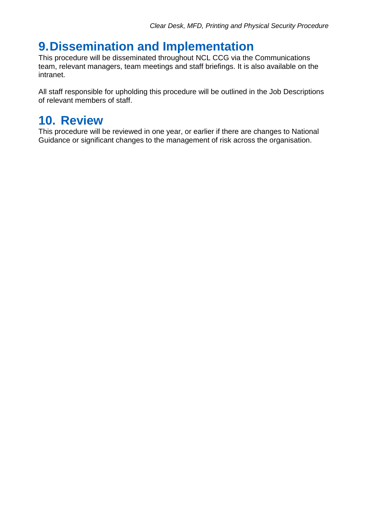### <span id="page-7-0"></span>**9.Dissemination and Implementation**

This procedure will be disseminated throughout NCL CCG via the Communications team, relevant managers, team meetings and staff briefings. It is also available on the intranet.

All staff responsible for upholding this procedure will be outlined in the Job Descriptions of relevant members of staff.

### <span id="page-7-1"></span>**10. Review**

This procedure will be reviewed in one year, or earlier if there are changes to National Guidance or significant changes to the management of risk across the organisation.